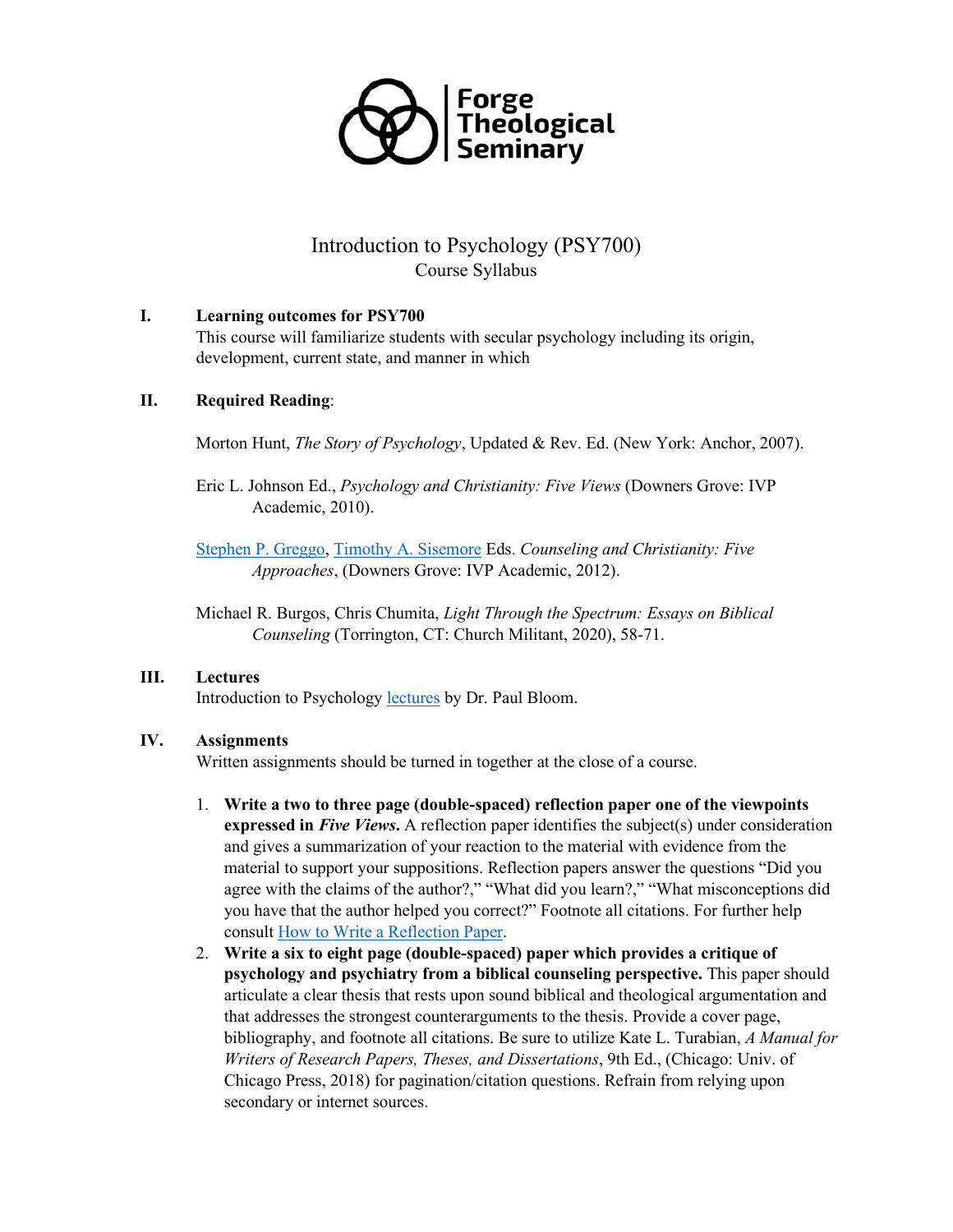

# Introduction to Psychology (PSY700) Course Syllabus

### **I. Learning outcomes for PSY700**

This course will familiarize students with secular psychology including its origin, development, current state, and manner in which

### **II. Required Reading**:

Morton Hunt, *The Story of Psychology*, Updated & Rev. Ed. (New York: Anchor, 2007).

Eric L. Johnson Ed., *Psychology and Christianity: Five Views* (Downers Grove: IVP Academic, 2010).

[Stephen P. Greggo,](https://www.amazon.com/Stephen-P.-Greggo/e/B001JSBT5W/ref=dp_byline_cont_book_1) [Timothy A. Sisemore](https://www.amazon.com/Timothy-A.-Sisemore/e/B001JRUYHC/ref=dp_byline_cont_book_2) Eds. *Counseling and Christianity: Five Approaches*, (Downers Grove: IVP Academic, 2012).

Michael R. Burgos, Chris Chumita, *Light Through the Spectrum: Essays on Biblical Counseling* (Torrington, CT: Church Militant, 2020), 58-71.

#### **III. Lectures**

Introduction to Psychology [lectures](https://oyc.yale.edu/NODE/231) by Dr. Paul Bloom.

## **IV. Assignments**

Written assignments should be turned in together at the close of a course.

- 1. **Write a two to three page (double-spaced) reflection paper one of the viewpoints expressed in** *Five Views***.** A reflection paper identifies the subject(s) under consideration and gives a summarization of your reaction to the material with evidence from the material to support your suppositions. Reflection papers answer the questions "Did you agree with the claims of the author?," "What did you learn?," "What misconceptions did you have that the author helped you correct?" Footnote all citations. For further help consult [How to Write a Reflection Paper.](https://www.wikihow.com/Write-a-Reflection-Paper)
- 2. **Write a six to eight page (double-spaced) paper which provides a critique of psychology and psychiatry from a biblical counseling perspective.** This paper should articulate a clear thesis that rests upon sound biblical and theological argumentation and that addresses the strongest counterarguments to the thesis. Provide a cover page, bibliography, and footnote all citations. Be sure to utilize Kate L. Turabian, *A Manual for Writers of Research Papers, Theses, and Dissertations*, 9th Ed., (Chicago: Univ. of Chicago Press, 2018) for pagination/citation questions. Refrain from relying upon secondary or internet sources.